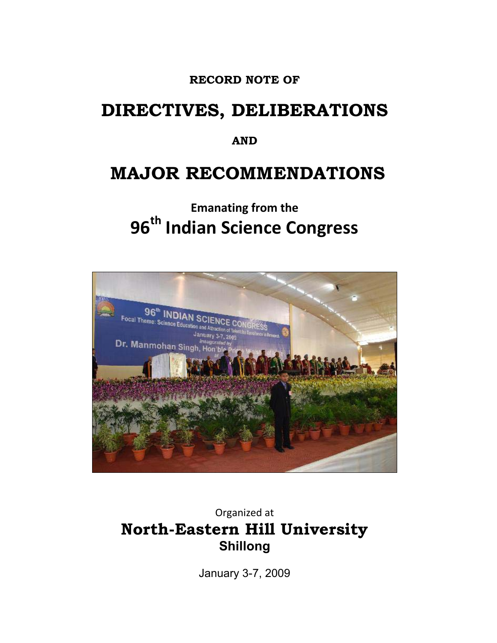## **RECORD NOTE OF**

# **DIRECTIVES, DELIBERATIONS**

## **AND**

# **MAJOR RECOMMENDATIONS**

# **Emanating from the 96th Indian Science Congress**



## Organized at **North-Eastern Hill University Shillong**

January 3-7, 2009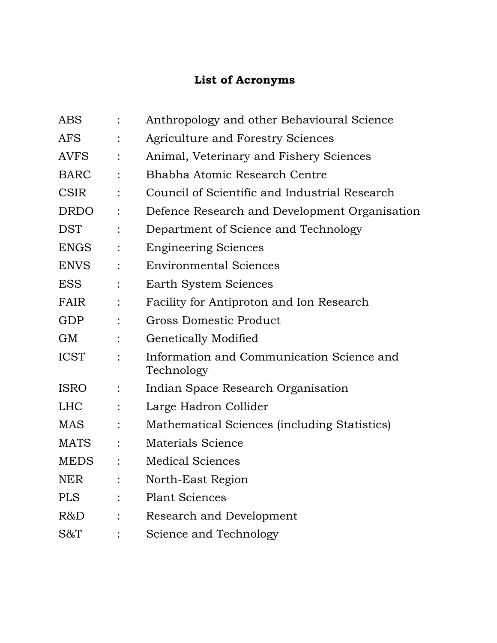## **List of Acronyms**

| ABS         |                | Anthropology and other Behavioural Science              |
|-------------|----------------|---------------------------------------------------------|
| <b>AFS</b>  |                | Agriculture and Forestry Sciences                       |
| <b>AVFS</b> | $\ddot{\cdot}$ | Animal, Veterinary and Fishery Sciences                 |
| <b>BARC</b> | $\ddot{\cdot}$ | Bhabha Atomic Research Centre                           |
| <b>CSIR</b> |                | Council of Scientific and Industrial Research           |
| DRDO        |                | Defence Research and Development Organisation           |
| <b>DST</b>  |                | Department of Science and Technology                    |
| <b>ENGS</b> |                | <b>Engineering Sciences</b>                             |
| <b>ENVS</b> |                | <b>Environmental Sciences</b>                           |
| <b>ESS</b>  | $\ddot{\cdot}$ | Earth System Sciences                                   |
| FAIR        | $\ddot{\cdot}$ | Facility for Antiproton and Ion Research                |
| <b>GDP</b>  | ÷              | Gross Domestic Product                                  |
| <b>GM</b>   |                | Genetically Modified                                    |
| <b>ICST</b> |                | Information and Communication Science and<br>Technology |
| <b>ISRO</b> |                | Indian Space Research Organisation                      |
| <b>LHC</b>  |                | Large Hadron Collider                                   |
| <b>MAS</b>  |                | Mathematical Sciences (including Statistics)            |
| <b>MATS</b> |                | Materials Science                                       |
| <b>MEDS</b> |                | <b>Medical Sciences</b>                                 |
| <b>NER</b>  |                | North-East Region                                       |
| <b>PLS</b>  |                | <b>Plant Sciences</b>                                   |
| R&D         |                | Research and Development                                |
| S&T         |                | Science and Technology                                  |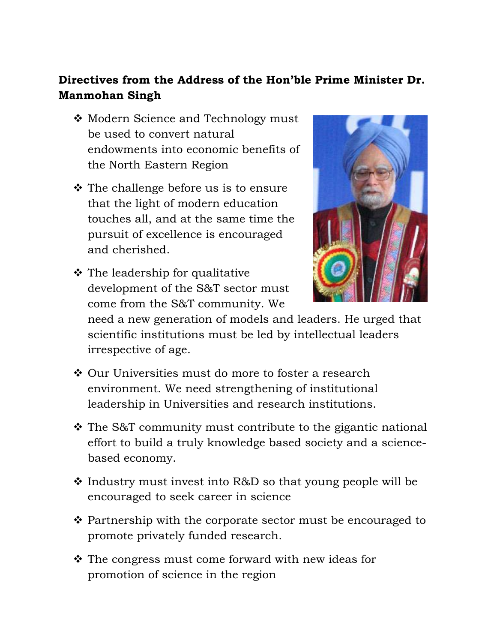## **Directives from the Address of the Hon'ble Prime Minister Dr. Manmohan Singh**

- ❖ Modern Science and Technology must be used to convert natural endowments into economic benefits of the North Eastern Region
- $\triangle$  The challenge before us is to ensure that the light of modern education touches all, and at the same time the pursuit of excellence is encouraged and cherished.





need a new generation of models and leaders. He urged that scientific institutions must be led by intellectual leaders irrespective of age.

- Our Universities must do more to foster a research environment. We need strengthening of institutional leadership in Universities and research institutions.
- ◆ The S&T community must contribute to the gigantic national effort to build a truly knowledge based society and a sciencebased economy.
- $\cdot$  Industry must invest into R&D so that young people will be encouraged to seek career in science
- $\triangle$  Partnership with the corporate sector must be encouraged to promote privately funded research.
- The congress must come forward with new ideas for promotion of science in the region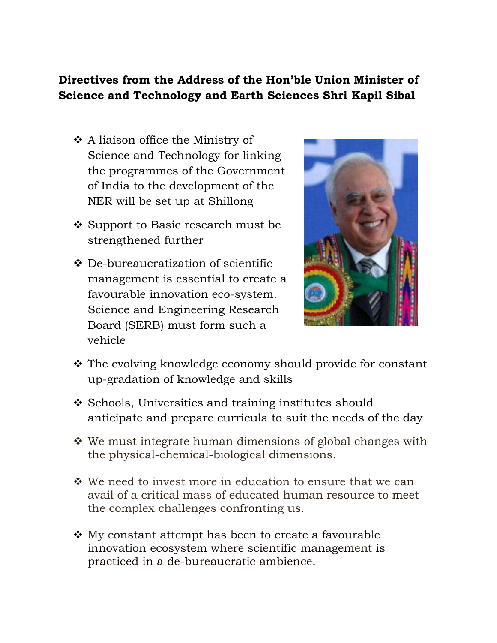## **Directives from the Address of the Hon'ble Union Minister of Science and Technology and Earth Sciences Shri Kapil Sibal**

- A liaison office the Ministry of Science and Technology for linking the programmes of the Government of India to the development of the NER will be set up at Shillong
- ❖ Support to Basic research must be strengthened further
- De-bureaucratization of scientific management is essential to create a favourable innovation eco-system. Science and Engineering Research Board (SERB) must form such a vehicle



- The evolving knowledge economy should provide for constant up-gradation of knowledge and skills
- \* Schools, Universities and training institutes should anticipate and prepare curricula to suit the needs of the day
- ◆ We must integrate human dimensions of global changes with the physical-chemical-biological dimensions.
- We need to invest more in education to ensure that we can avail of a critical mass of educated human resource to meet the complex challenges confronting us.
- My constant attempt has been to create a favourable innovation ecosystem where scientific management is practiced in a de-bureaucratic ambience.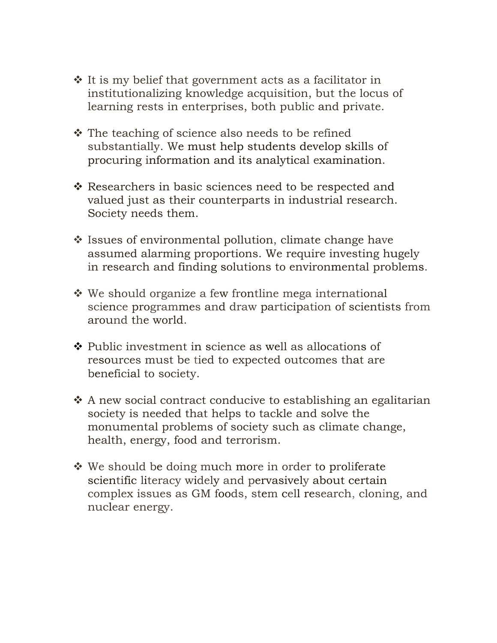- $\cdot$  It is my belief that government acts as a facilitator in institutionalizing knowledge acquisition, but the locus of learning rests in enterprises, both public and private.
- $\triangle$  The teaching of science also needs to be refined substantially. We must help students develop skills of procuring information and its analytical examination.
- ❖ Researchers in basic sciences need to be respected and valued just as their counterparts in industrial research. Society needs them.
- Issues of environmental pollution, climate change have assumed alarming proportions. We require investing hugely in research and finding solutions to environmental problems.
- We should organize a few frontline mega international science programmes and draw participation of scientists from around the world.
- Public investment in science as well as allocations of resources must be tied to expected outcomes that are beneficial to society.
- A new social contract conducive to establishing an egalitarian society is needed that helps to tackle and solve the monumental problems of society such as climate change, health, energy, food and terrorism.
- We should be doing much more in order to proliferate scientific literacy widely and pervasively about certain complex issues as GM foods, stem cell research, cloning, and nuclear energy.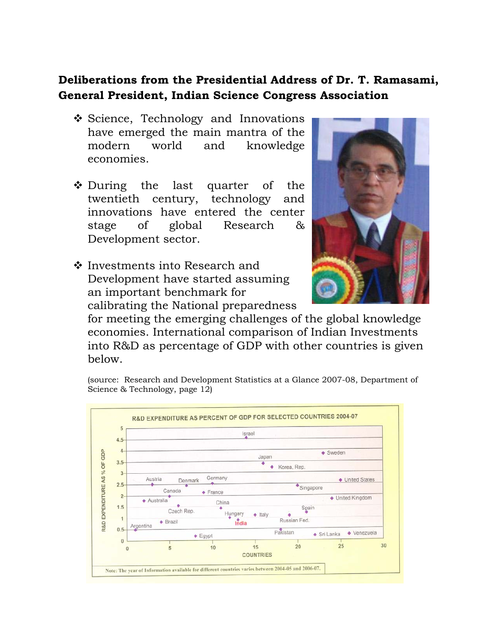## **Deliberations from the Presidential Address of Dr. T. Ramasami, General President, Indian Science Congress Association**

- Science, Technology and Innovations have emerged the main mantra of the modern world and knowledge economies.
- During the last quarter of the twentieth century, technology and innovations have entered the center stage of global Research & Development sector.
- Investments into Research and Development have started assuming an important benchmark for calibrating the National preparedness



for meeting the emerging challenges of the global knowledge economies. International comparison of Indian Investments into R&D as percentage of GDP with other countries is given below.

(source: Research and Development Statistics at a Glance 2007-08, Department of Science & Technology, page 12)

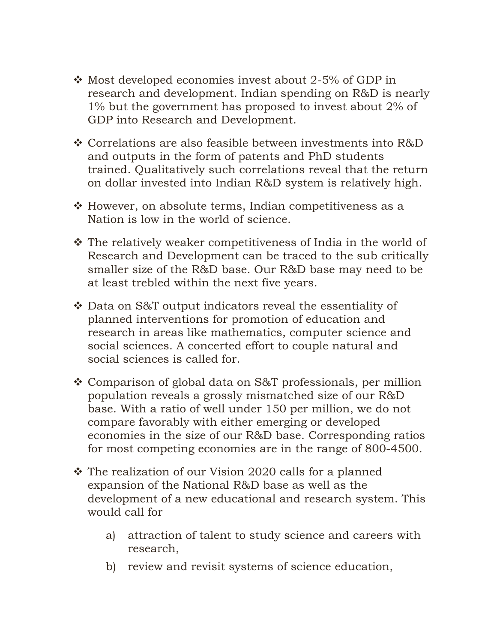- $\cdot$  Most developed economies invest about 2-5% of GDP in research and development. Indian spending on R&D is nearly 1% but the government has proposed to invest about 2% of GDP into Research and Development.
- Correlations are also feasible between investments into R&D and outputs in the form of patents and PhD students trained. Qualitatively such correlations reveal that the return on dollar invested into Indian R&D system is relatively high.
- ❖ However, on absolute terms, Indian competitiveness as a Nation is low in the world of science.
- The relatively weaker competitiveness of India in the world of Research and Development can be traced to the sub critically smaller size of the R&D base. Our R&D base may need to be at least trebled within the next five years.
- ◆ Data on S&T output indicators reveal the essentiality of planned interventions for promotion of education and research in areas like mathematics, computer science and social sciences. A concerted effort to couple natural and social sciences is called for.
- Comparison of global data on S&T professionals, per million population reveals a grossly mismatched size of our R&D base. With a ratio of well under 150 per million, we do not compare favorably with either emerging or developed economies in the size of our R&D base. Corresponding ratios for most competing economies are in the range of 800-4500.
- \* The realization of our Vision 2020 calls for a planned expansion of the National R&D base as well as the development of a new educational and research system. This would call for
	- a) attraction of talent to study science and careers with research,
	- b) review and revisit systems of science education,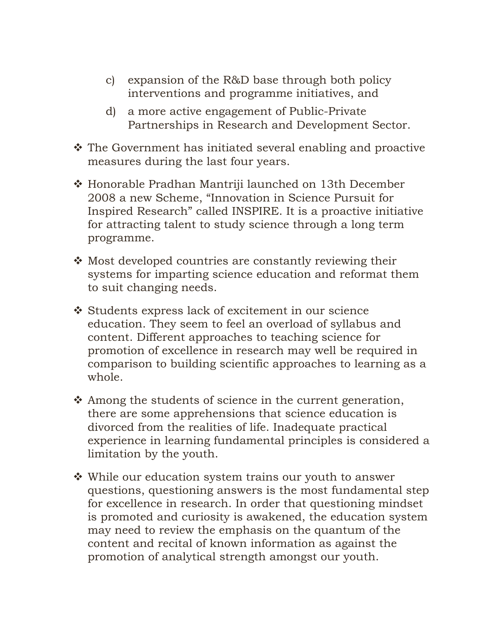- c) expansion of the R&D base through both policy interventions and programme initiatives, and
- d) a more active engagement of Public-Private Partnerships in Research and Development Sector.
- The Government has initiated several enabling and proactive measures during the last four years.
- Honorable Pradhan Mantriji launched on 13th December 2008 a new Scheme, "Innovation in Science Pursuit for Inspired Research" called INSPIRE. It is a proactive initiative for attracting talent to study science through a long term programme.
- ❖ Most developed countries are constantly reviewing their systems for imparting science education and reformat them to suit changing needs.
- Students express lack of excitement in our science education. They seem to feel an overload of syllabus and content. Different approaches to teaching science for promotion of excellence in research may well be required in comparison to building scientific approaches to learning as a whole.
- Among the students of science in the current generation, there are some apprehensions that science education is divorced from the realities of life. Inadequate practical experience in learning fundamental principles is considered a limitation by the youth.
- While our education system trains our youth to answer questions, questioning answers is the most fundamental step for excellence in research. In order that questioning mindset is promoted and curiosity is awakened, the education system may need to review the emphasis on the quantum of the content and recital of known information as against the promotion of analytical strength amongst our youth.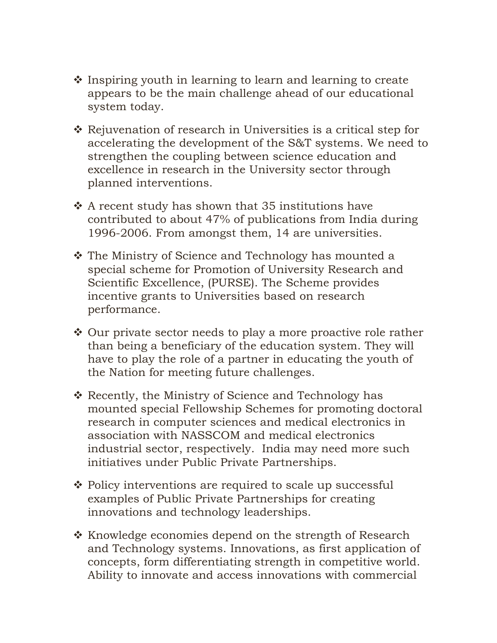- $\cdot$  Inspiring youth in learning to learn and learning to create appears to be the main challenge ahead of our educational system today.
- \* Rejuvenation of research in Universities is a critical step for accelerating the development of the S&T systems. We need to strengthen the coupling between science education and excellence in research in the University sector through planned interventions.
- $\triangle$  A recent study has shown that 35 institutions have contributed to about 47% of publications from India during 1996-2006. From amongst them, 14 are universities.
- The Ministry of Science and Technology has mounted a special scheme for Promotion of University Research and Scientific Excellence, (PURSE). The Scheme provides incentive grants to Universities based on research performance.
- Our private sector needs to play a more proactive role rather than being a beneficiary of the education system. They will have to play the role of a partner in educating the youth of the Nation for meeting future challenges.
- \* Recently, the Ministry of Science and Technology has mounted special Fellowship Schemes for promoting doctoral research in computer sciences and medical electronics in association with NASSCOM and medical electronics industrial sector, respectively. India may need more such initiatives under Public Private Partnerships.
- ❖ Policy interventions are required to scale up successful examples of Public Private Partnerships for creating innovations and technology leaderships.
- $\triangle$  Knowledge economies depend on the strength of Research and Technology systems. Innovations, as first application of concepts, form differentiating strength in competitive world. Ability to innovate and access innovations with commercial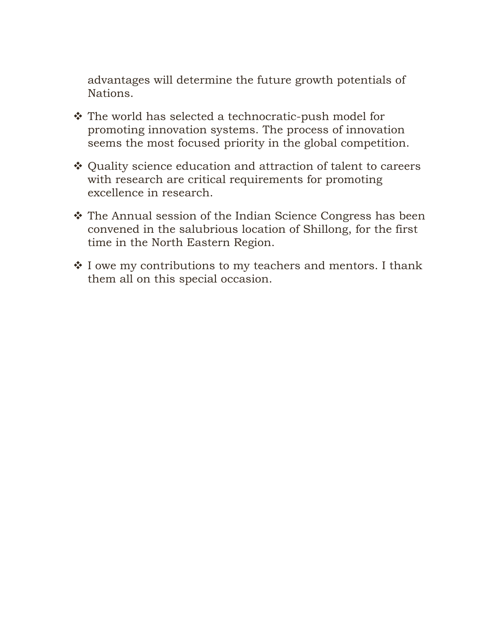advantages will determine the future growth potentials of Nations.

- The world has selected a technocratic-push model for promoting innovation systems. The process of innovation seems the most focused priority in the global competition.
- ❖ Quality science education and attraction of talent to careers with research are critical requirements for promoting excellence in research.
- The Annual session of the Indian Science Congress has been convened in the salubrious location of Shillong, for the first time in the North Eastern Region.
- \* I owe my contributions to my teachers and mentors. I thank them all on this special occasion.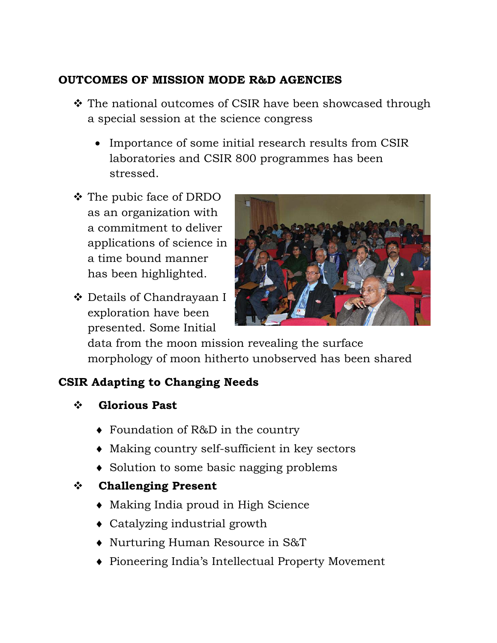## **OUTCOMES OF MISSION MODE R&D AGENCIES**

- The national outcomes of CSIR have been showcased through a special session at the science congress
	- Importance of some initial research results from CSIR laboratories and CSIR 800 programmes has been stressed.
- The pubic face of DRDO as an organization with a commitment to deliver applications of science in a time bound manner has been highlighted.
- Details of Chandrayaan I exploration have been presented. Some Initial



data from the moon mission revealing the surface morphology of moon hitherto unobserved has been shared

## **CSIR Adapting to Changing Needs**

- **Glorious Past** 
	- ♦ Foundation of R&D in the country
	- ♦ Making country self-sufficient in key sectors
	- ♦ Solution to some basic nagging problems

## **Challenging Present**

- ♦ Making India proud in High Science
- ♦ Catalyzing industrial growth
- ♦ Nurturing Human Resource in S&T
- ♦ Pioneering India's Intellectual Property Movement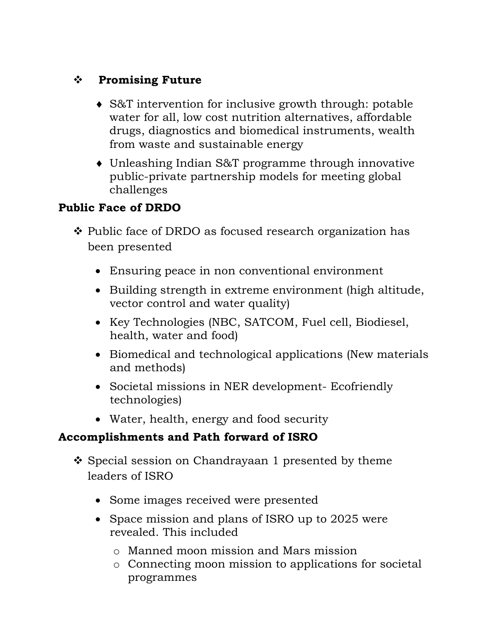## **Promising Future**

- ♦ S&T intervention for inclusive growth through: potable water for all, low cost nutrition alternatives, affordable drugs, diagnostics and biomedical instruments, wealth from waste and sustainable energy
- ♦ Unleashing Indian S&T programme through innovative public-private partnership models for meeting global challenges

## **Public Face of DRDO**

- Public face of DRDO as focused research organization has been presented
	- Ensuring peace in non conventional environment
	- Building strength in extreme environment (high altitude, vector control and water quality)
	- Key Technologies (NBC, SATCOM, Fuel cell, Biodiesel, health, water and food)
	- Biomedical and technological applications (New materials and methods)
	- Societal missions in NER development- Ecofriendly technologies)
	- Water, health, energy and food security

## **Accomplishments and Path forward of ISRO**

- ❖ Special session on Chandrayaan 1 presented by theme leaders of ISRO
	- Some images received were presented
	- Space mission and plans of ISRO up to 2025 were revealed. This included
		- o Manned moon mission and Mars mission
		- o Connecting moon mission to applications for societal programmes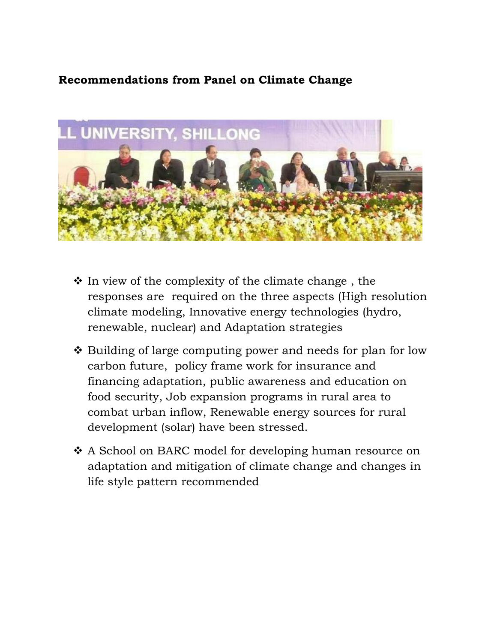## **Recommendations from Panel on Climate Change**



- $\cdot$  In view of the complexity of the climate change, the responses are required on the three aspects (High resolution climate modeling, Innovative energy technologies (hydro, renewable, nuclear) and Adaptation strategies
- Building of large computing power and needs for plan for low carbon future, policy frame work for insurance and financing adaptation, public awareness and education on food security, Job expansion programs in rural area to combat urban inflow, Renewable energy sources for rural development (solar) have been stressed.
- ❖ A School on BARC model for developing human resource on adaptation and mitigation of climate change and changes in life style pattern recommended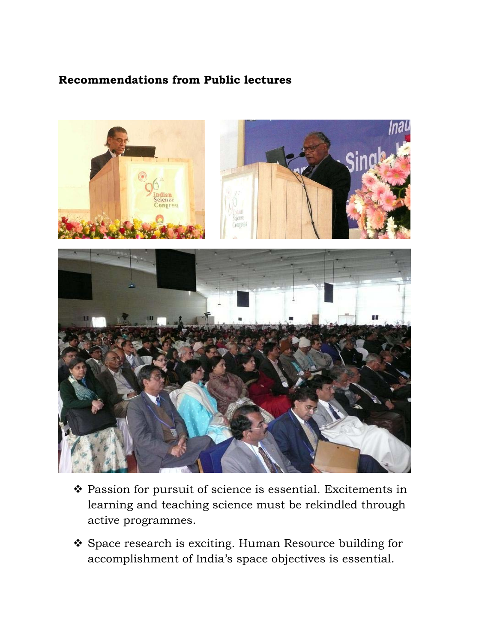## **Recommendations from Public lectures**



- Passion for pursuit of science is essential. Excitements in learning and teaching science must be rekindled through active programmes.
- Space research is exciting. Human Resource building for accomplishment of India's space objectives is essential.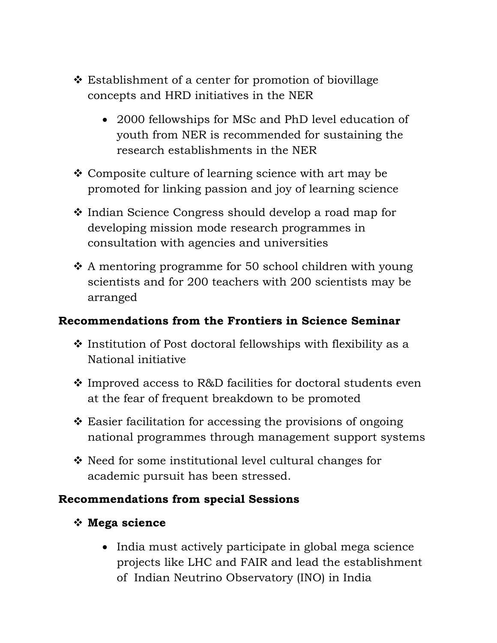- ❖ Establishment of a center for promotion of biovillage concepts and HRD initiatives in the NER
	- 2000 fellowships for MSc and PhD level education of youth from NER is recommended for sustaining the research establishments in the NER
- Composite culture of learning science with art may be promoted for linking passion and joy of learning science
- Indian Science Congress should develop a road map for developing mission mode research programmes in consultation with agencies and universities
- A mentoring programme for 50 school children with young scientists and for 200 teachers with 200 scientists may be arranged

## **Recommendations from the Frontiers in Science Seminar**

- $\cdot$  Institution of Post doctoral fellowships with flexibility as a National initiative
- ❖ Improved access to R&D facilities for doctoral students even at the fear of frequent breakdown to be promoted
- ❖ Easier facilitation for accessing the provisions of ongoing national programmes through management support systems
- $\cdot$  Need for some institutional level cultural changes for academic pursuit has been stressed.

## **Recommendations from special Sessions**

## **Mega science**

• India must actively participate in global mega science projects like LHC and FAIR and lead the establishment of Indian Neutrino Observatory (INO) in India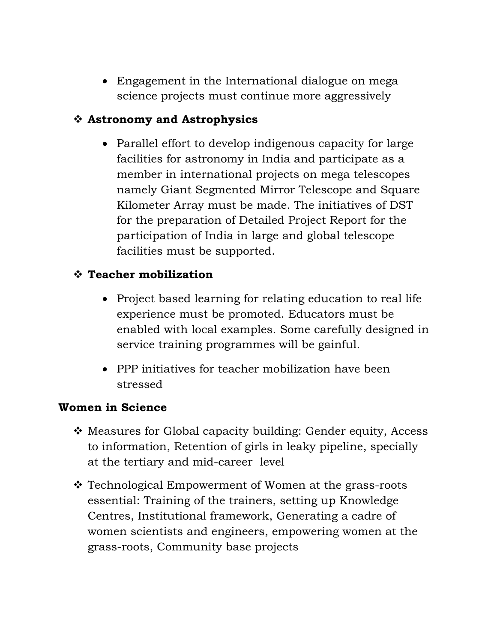• Engagement in the International dialogue on mega science projects must continue more aggressively

## **Astronomy and Astrophysics**

• Parallel effort to develop indigenous capacity for large facilities for astronomy in India and participate as a member in international projects on mega telescopes namely Giant Segmented Mirror Telescope and Square Kilometer Array must be made. The initiatives of DST for the preparation of Detailed Project Report for the participation of India in large and global telescope facilities must be supported.

## **Teacher mobilization**

- Project based learning for relating education to real life experience must be promoted. Educators must be enabled with local examples. Some carefully designed in service training programmes will be gainful.
- PPP initiatives for teacher mobilization have been stressed

## **Women in Science**

- Measures for Global capacity building: Gender equity, Access to information, Retention of girls in leaky pipeline, specially at the tertiary and mid-career level
- Technological Empowerment of Women at the grass-roots essential: Training of the trainers, setting up Knowledge Centres, Institutional framework, Generating a cadre of women scientists and engineers, empowering women at the grass-roots, Community base projects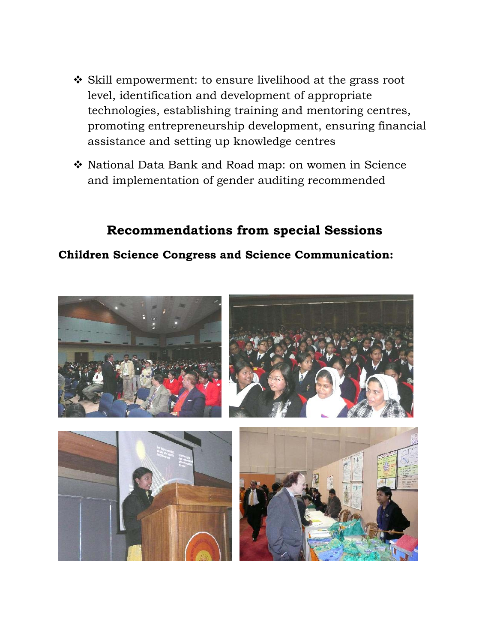- Skill empowerment: to ensure livelihood at the grass root level, identification and development of appropriate technologies, establishing training and mentoring centres, promoting entrepreneurship development, ensuring financial assistance and setting up knowledge centres
- National Data Bank and Road map: on women in Science and implementation of gender auditing recommended

## **Recommendations from special Sessions**

## **Children Science Congress and Science Communication:**

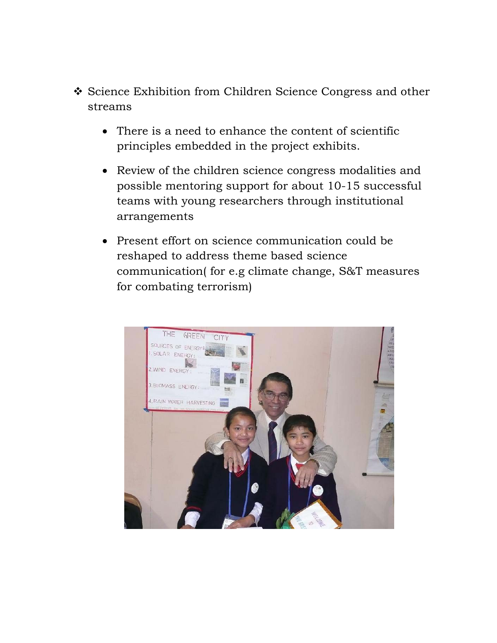- Science Exhibition from Children Science Congress and other streams
	- There is a need to enhance the content of scientific principles embedded in the project exhibits.
	- Review of the children science congress modalities and possible mentoring support for about 10-15 successful teams with young researchers through institutional arrangements
	- Present effort on science communication could be reshaped to address theme based science communication( for e.g climate change, S&T measures for combating terrorism)

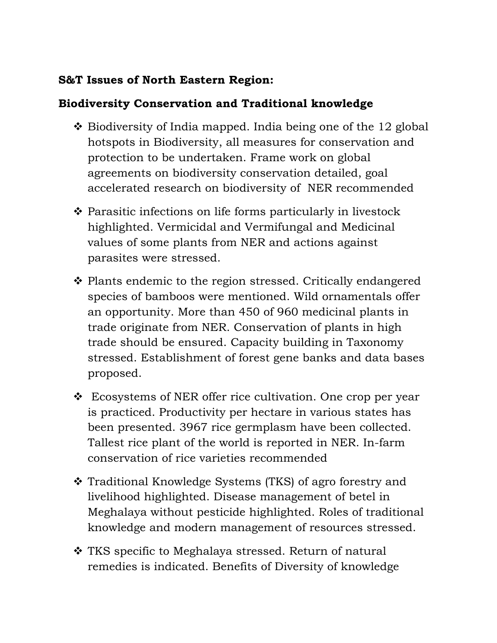## **S&T Issues of North Eastern Region:**

## **Biodiversity Conservation and Traditional knowledge**

- $\cdot$  Biodiversity of India mapped. India being one of the 12 global hotspots in Biodiversity, all measures for conservation and protection to be undertaken. Frame work on global agreements on biodiversity conservation detailed, goal accelerated research on biodiversity of NER recommended
- Parasitic infections on life forms particularly in livestock highlighted. Vermicidal and Vermifungal and Medicinal values of some plants from NER and actions against parasites were stressed.
- ◆ Plants endemic to the region stressed. Critically endangered species of bamboos were mentioned. Wild ornamentals offer an opportunity. More than 450 of 960 medicinal plants in trade originate from NER. Conservation of plants in high trade should be ensured. Capacity building in Taxonomy stressed. Establishment of forest gene banks and data bases proposed.
- ❖ Ecosystems of NER offer rice cultivation. One crop per year is practiced. Productivity per hectare in various states has been presented. 3967 rice germplasm have been collected. Tallest rice plant of the world is reported in NER. In-farm conservation of rice varieties recommended
- \* Traditional Knowledge Systems (TKS) of agro forestry and livelihood highlighted. Disease management of betel in Meghalaya without pesticide highlighted. Roles of traditional knowledge and modern management of resources stressed.
- TKS specific to Meghalaya stressed. Return of natural remedies is indicated. Benefits of Diversity of knowledge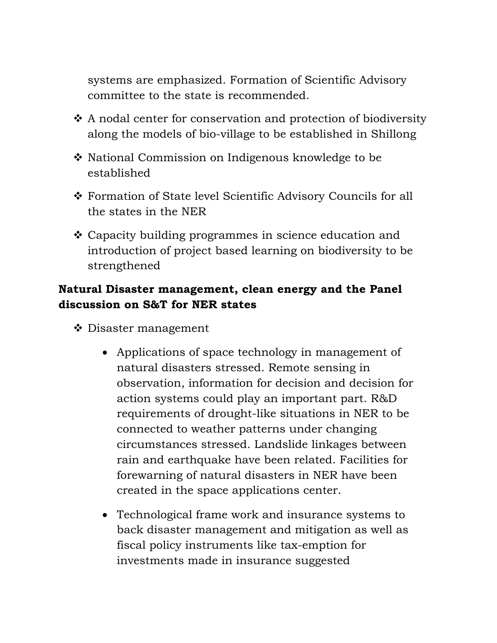systems are emphasized. Formation of Scientific Advisory committee to the state is recommended.

- A nodal center for conservation and protection of biodiversity along the models of bio-village to be established in Shillong
- ❖ National Commission on Indigenous knowledge to be established
- Formation of State level Scientific Advisory Councils for all the states in the NER
- ◆ Capacity building programmes in science education and introduction of project based learning on biodiversity to be strengthened

## **Natural Disaster management, clean energy and the Panel discussion on S&T for NER states**

- ❖ Disaster management
	- Applications of space technology in management of natural disasters stressed. Remote sensing in observation, information for decision and decision for action systems could play an important part. R&D requirements of drought-like situations in NER to be connected to weather patterns under changing circumstances stressed. Landslide linkages between rain and earthquake have been related. Facilities for forewarning of natural disasters in NER have been created in the space applications center.
	- Technological frame work and insurance systems to back disaster management and mitigation as well as fiscal policy instruments like tax-emption for investments made in insurance suggested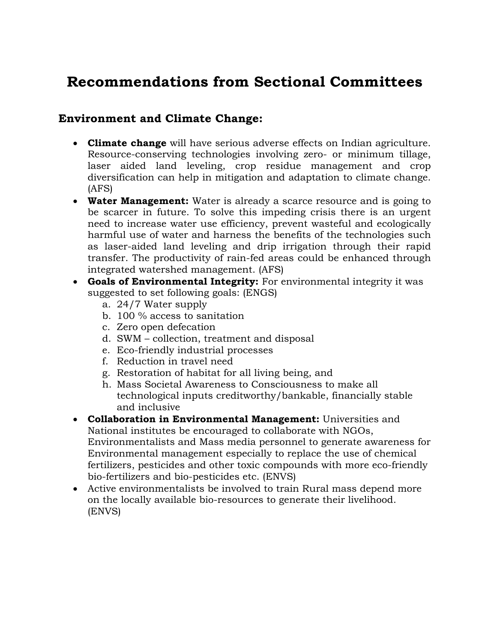## **Recommendations from Sectional Committees**

### **Environment and Climate Change:**

- **Climate change** will have serious adverse effects on Indian agriculture. Resource-conserving technologies involving zero- or minimum tillage, laser aided land leveling, crop residue management and crop diversification can help in mitigation and adaptation to climate change. (AFS)
- **Water Management:** Water is already a scarce resource and is going to be scarcer in future. To solve this impeding crisis there is an urgent need to increase water use efficiency, prevent wasteful and ecologically harmful use of water and harness the benefits of the technologies such as laser-aided land leveling and drip irrigation through their rapid transfer. The productivity of rain-fed areas could be enhanced through integrated watershed management. (AFS)
- **Goals of Environmental Integrity:** For environmental integrity it was suggested to set following goals: (ENGS)
	- a. 24/7 Water supply
	- b. 100 % access to sanitation
	- c. Zero open defecation
	- d. SWM collection, treatment and disposal
	- e. Eco-friendly industrial processes
	- f. Reduction in travel need
	- g. Restoration of habitat for all living being, and
	- h. Mass Societal Awareness to Consciousness to make all technological inputs creditworthy/bankable, financially stable and inclusive
- **Collaboration in Environmental Management:** Universities and National institutes be encouraged to collaborate with NGOs, Environmentalists and Mass media personnel to generate awareness for Environmental management especially to replace the use of chemical fertilizers, pesticides and other toxic compounds with more eco-friendly bio-fertilizers and bio-pesticides etc. (ENVS)
- Active environmentalists be involved to train Rural mass depend more on the locally available bio-resources to generate their livelihood. (ENVS)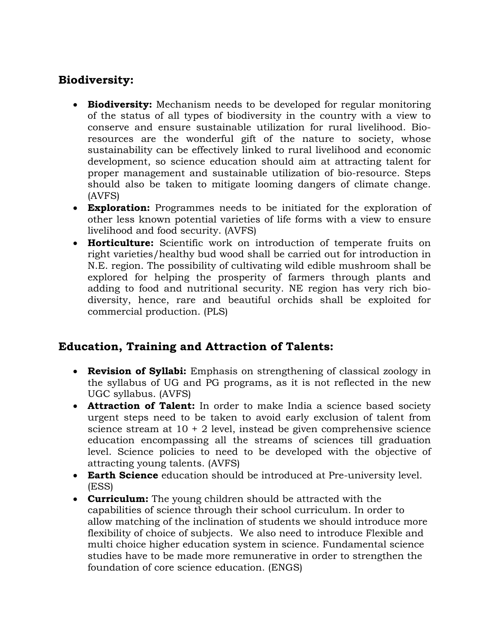## **Biodiversity:**

- **Biodiversity:** Mechanism needs to be developed for regular monitoring of the status of all types of biodiversity in the country with a view to conserve and ensure sustainable utilization for rural livelihood. Bioresources are the wonderful gift of the nature to society, whose sustainability can be effectively linked to rural livelihood and economic development, so science education should aim at attracting talent for proper management and sustainable utilization of bio-resource. Steps should also be taken to mitigate looming dangers of climate change. (AVFS)
- **Exploration:** Programmes needs to be initiated for the exploration of other less known potential varieties of life forms with a view to ensure livelihood and food security. (AVFS)
- **Horticulture:** Scientific work on introduction of temperate fruits on right varieties/healthy bud wood shall be carried out for introduction in N.E. region. The possibility of cultivating wild edible mushroom shall be explored for helping the prosperity of farmers through plants and adding to food and nutritional security. NE region has very rich biodiversity, hence, rare and beautiful orchids shall be exploited for commercial production. (PLS)

## **Education, Training and Attraction of Talents:**

- **Revision of Syllabi:** Emphasis on strengthening of classical zoology in the syllabus of UG and PG programs, as it is not reflected in the new UGC syllabus. (AVFS)
- **Attraction of Talent:** In order to make India a science based society urgent steps need to be taken to avoid early exclusion of talent from science stream at  $10 + 2$  level, instead be given comprehensive science education encompassing all the streams of sciences till graduation level. Science policies to need to be developed with the objective of attracting young talents. (AVFS)
- **Earth Science** education should be introduced at Pre-university level. (ESS)
- **Curriculum:** The young children should be attracted with the capabilities of science through their school curriculum. In order to allow matching of the inclination of students we should introduce more flexibility of choice of subjects. We also need to introduce Flexible and multi choice higher education system in science. Fundamental science studies have to be made more remunerative in order to strengthen the foundation of core science education. (ENGS)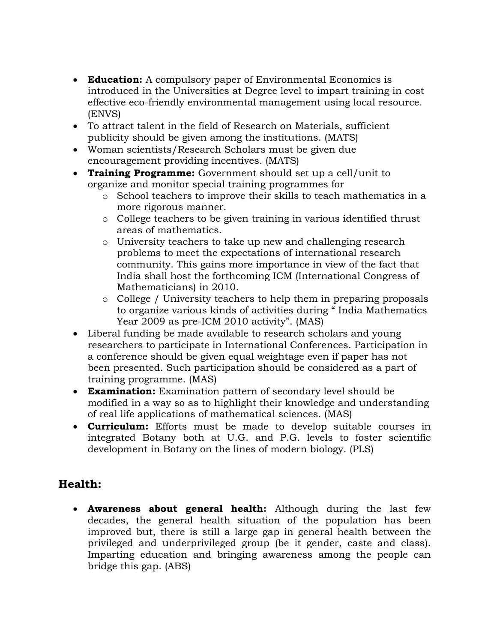- **Education:** A compulsory paper of Environmental Economics is introduced in the Universities at Degree level to impart training in cost effective eco-friendly environmental management using local resource. (ENVS)
- To attract talent in the field of Research on Materials, sufficient publicity should be given among the institutions. (MATS)
- Woman scientists/Research Scholars must be given due encouragement providing incentives. (MATS)
- **Training Programme:** Government should set up a cell/unit to organize and monitor special training programmes for
	- o School teachers to improve their skills to teach mathematics in a more rigorous manner.
	- o College teachers to be given training in various identified thrust areas of mathematics.
	- o University teachers to take up new and challenging research problems to meet the expectations of international research community. This gains more importance in view of the fact that India shall host the forthcoming ICM (International Congress of Mathematicians) in 2010.
	- o College / University teachers to help them in preparing proposals to organize various kinds of activities during " India Mathematics Year 2009 as pre-ICM 2010 activity". (MAS)
- Liberal funding be made available to research scholars and young researchers to participate in International Conferences. Participation in a conference should be given equal weightage even if paper has not been presented. Such participation should be considered as a part of training programme. (MAS)
- **Examination:** Examination pattern of secondary level should be modified in a way so as to highlight their knowledge and understanding of real life applications of mathematical sciences. (MAS)
- **Curriculum:** Efforts must be made to develop suitable courses in integrated Botany both at U.G. and P.G. levels to foster scientific development in Botany on the lines of modern biology. (PLS)

## **Health:**

• **Awareness about general health:** Although during the last few decades, the general health situation of the population has been improved but, there is still a large gap in general health between the privileged and underprivileged group (be it gender, caste and class). Imparting education and bringing awareness among the people can bridge this gap. (ABS)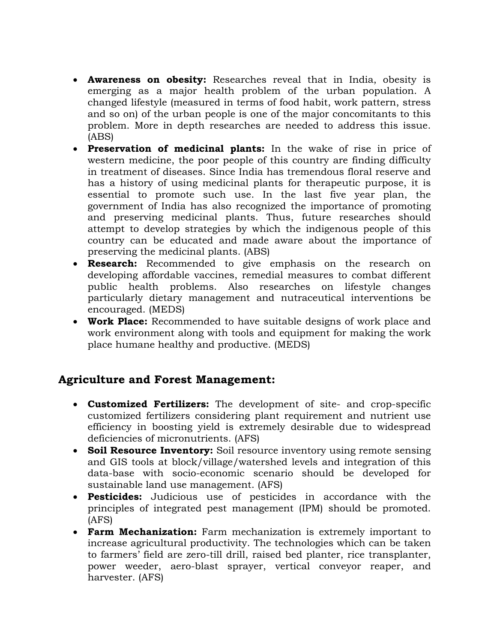- **Awareness on obesity:** Researches reveal that in India, obesity is emerging as a major health problem of the urban population. A changed lifestyle (measured in terms of food habit, work pattern, stress and so on) of the urban people is one of the major concomitants to this problem. More in depth researches are needed to address this issue. (ABS)
- **Preservation of medicinal plants:** In the wake of rise in price of western medicine, the poor people of this country are finding difficulty in treatment of diseases. Since India has tremendous floral reserve and has a history of using medicinal plants for therapeutic purpose, it is essential to promote such use. In the last five year plan, the government of India has also recognized the importance of promoting and preserving medicinal plants. Thus, future researches should attempt to develop strategies by which the indigenous people of this country can be educated and made aware about the importance of preserving the medicinal plants. (ABS)
- **Research:** Recommended to give emphasis on the research on developing affordable vaccines, remedial measures to combat different public health problems. Also researches on lifestyle changes particularly dietary management and nutraceutical interventions be encouraged. (MEDS)
- **Work Place:** Recommended to have suitable designs of work place and work environment along with tools and equipment for making the work place humane healthy and productive. (MEDS)

### **Agriculture and Forest Management:**

- **Customized Fertilizers:** The development of site- and crop-specific customized fertilizers considering plant requirement and nutrient use efficiency in boosting yield is extremely desirable due to widespread deficiencies of micronutrients. (AFS)
- **Soil Resource Inventory:** Soil resource inventory using remote sensing and GIS tools at block/village/watershed levels and integration of this data-base with socio-economic scenario should be developed for sustainable land use management. (AFS)
- **Pesticides:** Judicious use of pesticides in accordance with the principles of integrated pest management (IPM) should be promoted. (AFS)
- **Farm Mechanization:** Farm mechanization is extremely important to increase agricultural productivity. The technologies which can be taken to farmers' field are zero-till drill, raised bed planter, rice transplanter, power weeder, aero-blast sprayer, vertical conveyor reaper, and harvester. (AFS)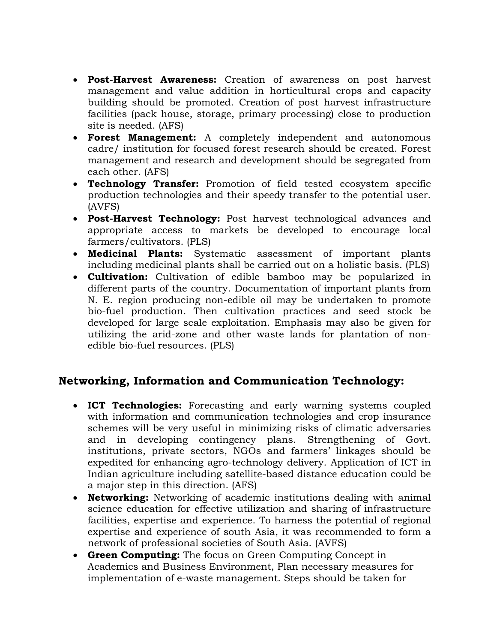- **Post-Harvest Awareness:** Creation of awareness on post harvest management and value addition in horticultural crops and capacity building should be promoted. Creation of post harvest infrastructure facilities (pack house, storage, primary processing) close to production site is needed. (AFS)
- **Forest Management:** A completely independent and autonomous cadre/ institution for focused forest research should be created. Forest management and research and development should be segregated from each other. (AFS)
- **Technology Transfer:** Promotion of field tested ecosystem specific production technologies and their speedy transfer to the potential user. (AVFS)
- **Post-Harvest Technology:** Post harvest technological advances and appropriate access to markets be developed to encourage local farmers/cultivators. (PLS)
- **Medicinal Plants:** Systematic assessment of important plants including medicinal plants shall be carried out on a holistic basis. (PLS)
- **Cultivation:** Cultivation of edible bamboo may be popularized in different parts of the country. Documentation of important plants from N. E. region producing non-edible oil may be undertaken to promote bio-fuel production. Then cultivation practices and seed stock be developed for large scale exploitation. Emphasis may also be given for utilizing the arid-zone and other waste lands for plantation of nonedible bio-fuel resources. (PLS)

## **Networking, Information and Communication Technology:**

- **ICT Technologies:** Forecasting and early warning systems coupled with information and communication technologies and crop insurance schemes will be very useful in minimizing risks of climatic adversaries and in developing contingency plans. Strengthening of Govt. institutions, private sectors, NGOs and farmers' linkages should be expedited for enhancing agro-technology delivery. Application of ICT in Indian agriculture including satellite-based distance education could be a major step in this direction. (AFS)
- **Networking:** Networking of academic institutions dealing with animal science education for effective utilization and sharing of infrastructure facilities, expertise and experience. To harness the potential of regional expertise and experience of south Asia, it was recommended to form a network of professional societies of South Asia. (AVFS)
- **Green Computing:** The focus on Green Computing Concept in Academics and Business Environment, Plan necessary measures for implementation of e-waste management. Steps should be taken for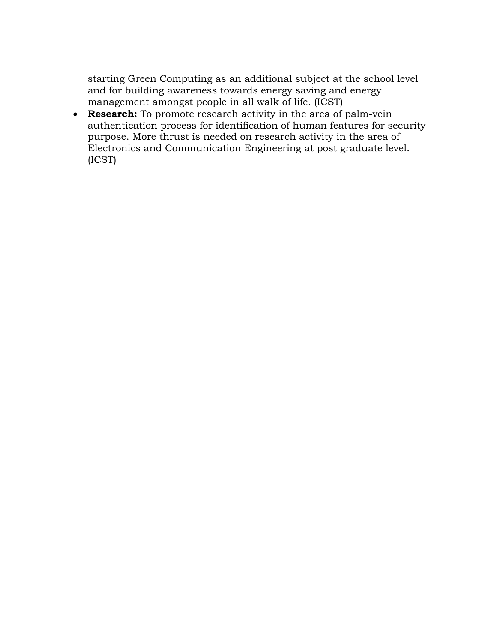starting Green Computing as an additional subject at the school level and for building awareness towards energy saving and energy management amongst people in all walk of life. (ICST)

• **Research:** To promote research activity in the area of palm-vein authentication process for identification of human features for security purpose. More thrust is needed on research activity in the area of Electronics and Communication Engineering at post graduate level. (ICST)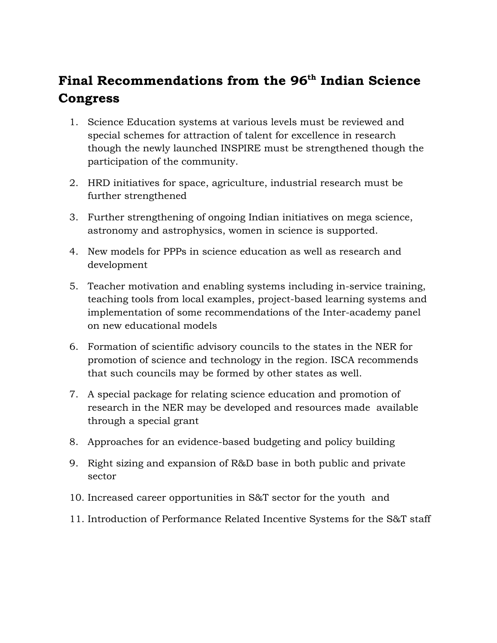## Final Recommendations from the 96<sup>th</sup> Indian Science **Congress**

- 1. Science Education systems at various levels must be reviewed and special schemes for attraction of talent for excellence in research though the newly launched INSPIRE must be strengthened though the participation of the community.
- 2. HRD initiatives for space, agriculture, industrial research must be further strengthened
- 3. Further strengthening of ongoing Indian initiatives on mega science, astronomy and astrophysics, women in science is supported.
- 4. New models for PPPs in science education as well as research and development
- 5. Teacher motivation and enabling systems including in-service training, teaching tools from local examples, project-based learning systems and implementation of some recommendations of the Inter-academy panel on new educational models
- 6. Formation of scientific advisory councils to the states in the NER for promotion of science and technology in the region. ISCA recommends that such councils may be formed by other states as well.
- 7. A special package for relating science education and promotion of research in the NER may be developed and resources made available through a special grant
- 8. Approaches for an evidence-based budgeting and policy building
- 9. Right sizing and expansion of R&D base in both public and private sector
- 10. Increased career opportunities in S&T sector for the youth and
- 11. Introduction of Performance Related Incentive Systems for the S&T staff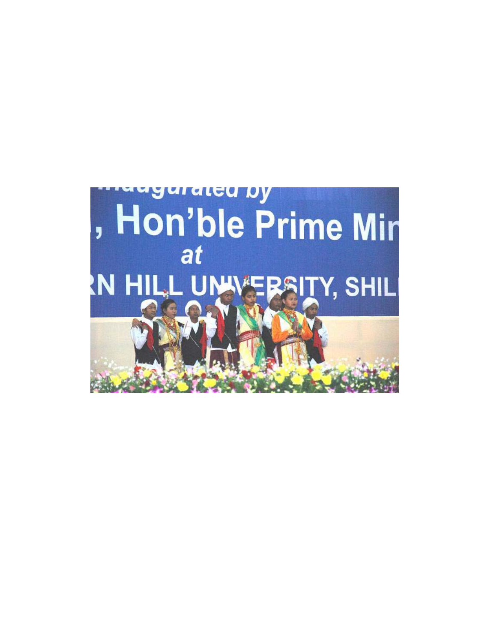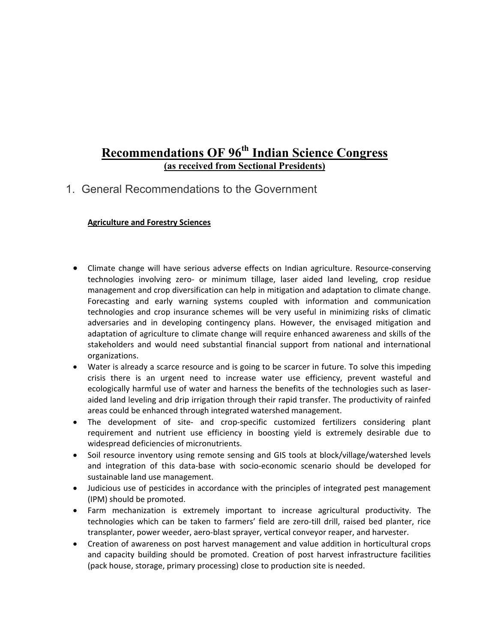## **Recommendations OF 96th Indian Science Congress (as received from Sectional Presidents)**

1. General Recommendations to the Government

#### **Agriculture and Forestry Sciences**

- Climate change will have serious adverse effects on Indian agriculture. Resource-conserving technologies involving zero‐ or minimum tillage, laser aided land leveling, crop residue management and crop diversification can help in mitigation and adaptation to climate change. Forecasting and early warning systems coupled with information and communication technologies and crop insurance schemes will be very useful in minimizing risks of climatic adversaries and in developing contingency plans. However, the envisaged mitigation and adaptation of agriculture to climate change will require enhanced awareness and skills of the stakeholders and would need substantial financial support from national and international organizations.
- Water is already a scarce resource and is going to be scarcer in future. To solve this impeding crisis there is an urgent need to increase water use efficiency, prevent wasteful and ecologically harmful use of water and harness the benefits of the technologies such as laser‐ aided land leveling and drip irrigation through their rapid transfer. The productivity of rainfed areas could be enhanced through integrated watershed management.
- The development of site- and crop-specific customized fertilizers considering plant requirement and nutrient use efficiency in boosting yield is extremely desirable due to widespread deficiencies of micronutrients.
- Soil resource inventory using remote sensing and GIS tools at block/village/watershed levels and integration of this data‐base with socio‐economic scenario should be developed for sustainable land use management.
- Judicious use of pesticides in accordance with the principles of integrated pest management (IPM) should be promoted.
- Farm mechanization is extremely important to increase agricultural productivity. The technologies which can be taken to farmers' field are zero-till drill, raised bed planter, rice transplanter, power weeder, aero‐blast sprayer, vertical conveyor reaper, and harvester.
- Creation of awareness on post harvest management and value addition in horticultural crops and capacity building should be promoted. Creation of post harvest infrastructure facilities (pack house, storage, primary processing) close to production site is needed.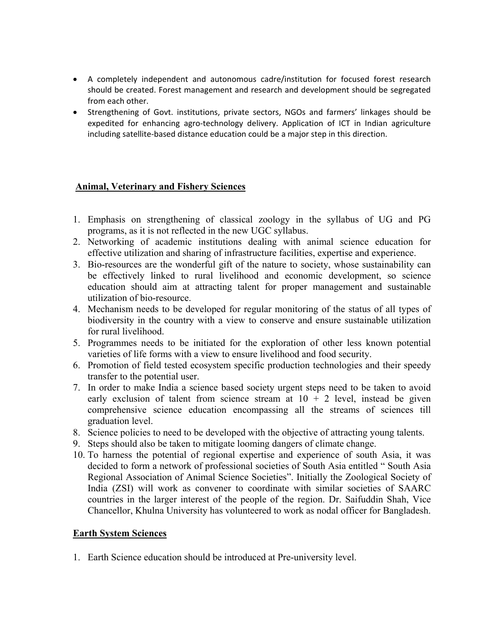- A completely independent and autonomous cadre/institution for focused forest research should be created. Forest management and research and development should be segregated from each other.
- Strengthening of Govt. institutions, private sectors, NGOs and farmers' linkages should be expedited for enhancing agro-technology delivery. Application of ICT in Indian agriculture including satellite‐based distance education could be a major step in this direction.

#### **Animal, Veterinary and Fishery Sciences**

- 1. Emphasis on strengthening of classical zoology in the syllabus of UG and PG programs, as it is not reflected in the new UGC syllabus.
- 2. Networking of academic institutions dealing with animal science education for effective utilization and sharing of infrastructure facilities, expertise and experience.
- 3. Bio-resources are the wonderful gift of the nature to society, whose sustainability can be effectively linked to rural livelihood and economic development, so science education should aim at attracting talent for proper management and sustainable utilization of bio-resource.
- 4. Mechanism needs to be developed for regular monitoring of the status of all types of biodiversity in the country with a view to conserve and ensure sustainable utilization for rural livelihood.
- 5. Programmes needs to be initiated for the exploration of other less known potential varieties of life forms with a view to ensure livelihood and food security.
- 6. Promotion of field tested ecosystem specific production technologies and their speedy transfer to the potential user.
- 7. In order to make India a science based society urgent steps need to be taken to avoid early exclusion of talent from science stream at  $10 + 2$  level, instead be given comprehensive science education encompassing all the streams of sciences till graduation level.
- 8. Science policies to need to be developed with the objective of attracting young talents.
- 9. Steps should also be taken to mitigate looming dangers of climate change.
- 10. To harness the potential of regional expertise and experience of south Asia, it was decided to form a network of professional societies of South Asia entitled " South Asia Regional Association of Animal Science Societies". Initially the Zoological Society of India (ZSI) will work as convener to coordinate with similar societies of SAARC countries in the larger interest of the people of the region. Dr. Saifuddin Shah, Vice Chancellor, Khulna University has volunteered to work as nodal officer for Bangladesh.

#### **Earth System Sciences**

1. Earth Science education should be introduced at Pre-university level.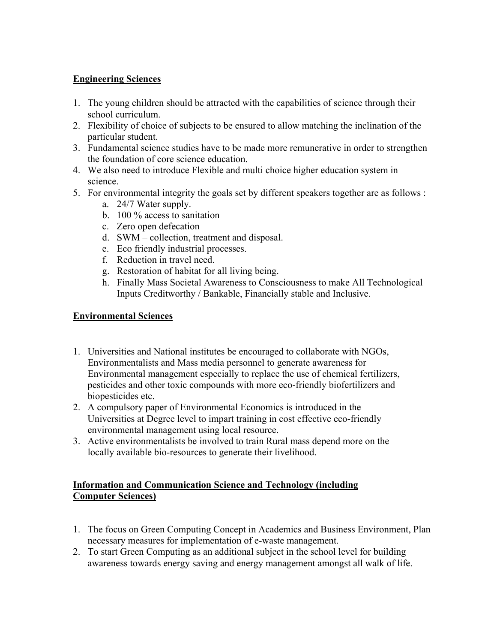### **Engineering Sciences**

- 1. The young children should be attracted with the capabilities of science through their school curriculum.
- 2. Flexibility of choice of subjects to be ensured to allow matching the inclination of the particular student.
- 3. Fundamental science studies have to be made more remunerative in order to strengthen the foundation of core science education.
- 4. We also need to introduce Flexible and multi choice higher education system in science.
- 5. For environmental integrity the goals set by different speakers together are as follows :
	- a. 24/7 Water supply.
	- b. 100 % access to sanitation
	- c. Zero open defecation
	- d. SWM collection, treatment and disposal.
	- e. Eco friendly industrial processes.
	- f. Reduction in travel need.
	- g. Restoration of habitat for all living being.
	- h. Finally Mass Societal Awareness to Consciousness to make All Technological Inputs Creditworthy / Bankable, Financially stable and Inclusive.

### **Environmental Sciences**

- 1. Universities and National institutes be encouraged to collaborate with NGOs, Environmentalists and Mass media personnel to generate awareness for Environmental management especially to replace the use of chemical fertilizers, pesticides and other toxic compounds with more eco-friendly biofertilizers and biopesticides etc.
- 2. A compulsory paper of Environmental Economics is introduced in the Universities at Degree level to impart training in cost effective eco-friendly environmental management using local resource.
- 3. Active environmentalists be involved to train Rural mass depend more on the locally available bio-resources to generate their livelihood.

### **Information and Communication Science and Technology (including Computer Sciences)**

- 1. The focus on Green Computing Concept in Academics and Business Environment, Plan necessary measures for implementation of e-waste management.
- 2. To start Green Computing as an additional subject in the school level for building awareness towards energy saving and energy management amongst all walk of life.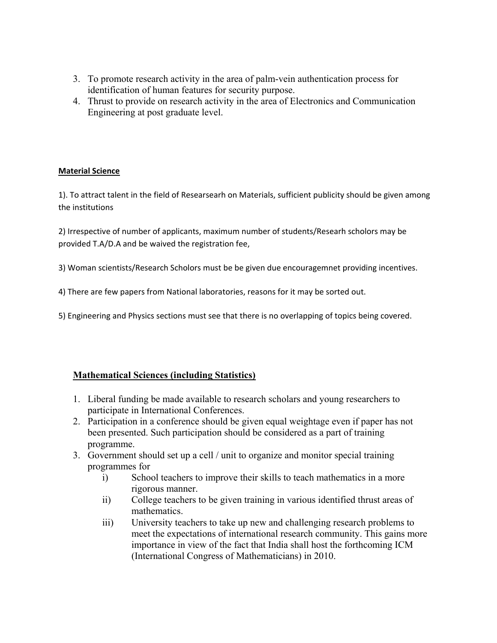- 3. To promote research activity in the area of palm-vein authentication process for identification of human features for security purpose.
- 4. Thrust to provide on research activity in the area of Electronics and Communication Engineering at post graduate level.

#### **Material Science**

1). To attract talent in the field of Researsearh on Materials, sufficient publicity should be given among the institutions

2) Irrespective of number of applicants, maximum number of students/Researh scholors may be provided T.A/D.A and be waived the registration fee,

3) Woman scientists/Research Scholors must be be given due encouragemnet providing incentives.

4) There are few papers from National laboratories, reasons for it may be sorted out.

5) Engineering and Physics sections must see that there is no overlapping of topics being covered.

### **Mathematical Sciences (including Statistics)**

- 1. Liberal funding be made available to research scholars and young researchers to participate in International Conferences.
- 2. Participation in a conference should be given equal weightage even if paper has not been presented. Such participation should be considered as a part of training programme.
- 3. Government should set up a cell / unit to organize and monitor special training programmes for
	- i) School teachers to improve their skills to teach mathematics in a more rigorous manner.
	- ii) College teachers to be given training in various identified thrust areas of mathematics.
	- iii) University teachers to take up new and challenging research problems to meet the expectations of international research community. This gains more importance in view of the fact that India shall host the forthcoming ICM (International Congress of Mathematicians) in 2010.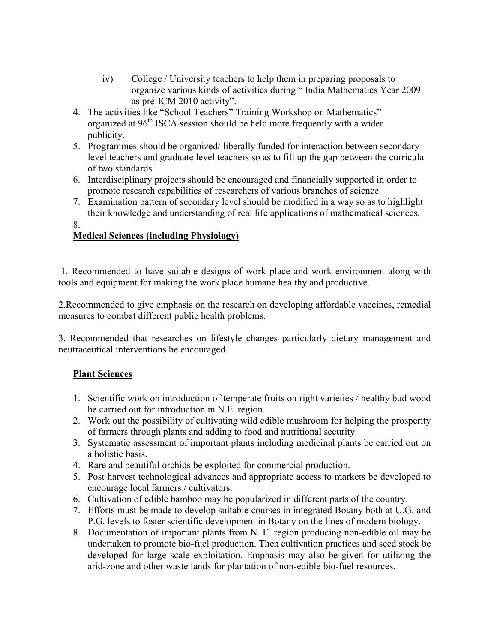- iv) College / University teachers to help them in preparing proposals to organize various kinds of activities during " India Mathematics Year 2009 as pre-ICM 2010 activity".
- 4. The activities like "School Teachers" Training Workshop on Mathematics" organized at 96<sup>th</sup> ISCA session should be held more frequently with a wider publicity.
- 5. Programmes should be organized/ liberally funded for interaction between secondary level teachers and graduate level teachers so as to fill up the gap between the curricula of two standards.
- 6. Interdisciplinary projects should be encouraged and financially supported in order to promote research capabilities of researchers of various branches of science.
- 7. Examination pattern of secondary level should be modified in a way so as to highlight their knowledge and understanding of real life applications of mathematical sciences.

### 8.

### **Medical Sciences (including Physiology)**

 1. Recommended to have suitable designs of work place and work environment along with tools and equipment for making the work place humane healthy and productive.

2.Recommended to give emphasis on the research on developing affordable vaccines, remedial measures to combat different public health problems.

3. Recommended that researches on lifestyle changes particularly dietary management and neutraceutical interventions be encouraged.

### **Plant Sciences**

- 1. Scientific work on introduction of temperate fruits on right varieties / healthy bud wood be carried out for introduction in N.E. region.
- 2. Work out the possibility of cultivating wild edible mushroom for helping the prosperity of farmers through plants and adding to food and nutritional security.
- 3. Systematic assessment of important plants including medicinal plants be carried out on a holistic basis.
- 4. Rare and beautiful orchids be exploited for commercial production.
- 5. Post harvest technological advances and appropriate access to markets be developed to encourage local farmers / cultivators.
- 6. Cultivation of edible bamboo may be popularized in different parts of the country.
- 7. Efforts must be made to develop suitable courses in integrated Botany both at U.G. and P.G. levels to foster scientific development in Botany on the lines of modern biology.
- 8. Documentation of important plants from N. E. region producing non-edible oil may be undertaken to promote bio-fuel production. Then cultivation practices and seed stock be developed for large scale exploitation. Emphasis may also be given for utilizing the arid-zone and other waste lands for plantation of non-edible bio-fuel resources.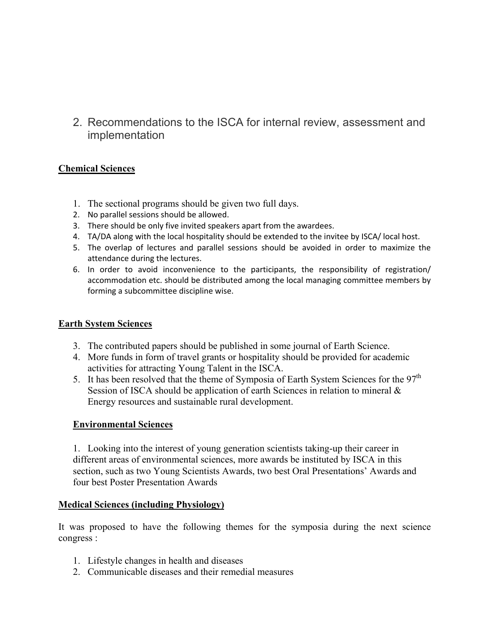2. Recommendations to the ISCA for internal review, assessment and implementation

### **Chemical Sciences**

- 1. The sectional programs should be given two full days.
- 2. No parallel sessions should be allowed.
- 3. There should be only five invited speakers apart from the awardees.
- 4. TA/DA along with the local hospitality should be extended to the invitee by ISCA/ local host.
- 5. The overlap of lectures and parallel sessions should be avoided in order to maximize the attendance during the lectures.
- 6. In order to avoid inconvenience to the participants, the responsibility of registration/ accommodation etc. should be distributed among the local managing committee members by forming a subcommittee discipline wise.

### **Earth System Sciences**

- 3. The contributed papers should be published in some journal of Earth Science.
- 4. More funds in form of travel grants or hospitality should be provided for academic activities for attracting Young Talent in the ISCA.
- 5. It has been resolved that the theme of Symposia of Earth System Sciences for the 97<sup>th</sup> Session of ISCA should be application of earth Sciences in relation to mineral  $\&$ Energy resources and sustainable rural development.

### **Environmental Sciences**

1. Looking into the interest of young generation scientists taking-up their career in different areas of environmental sciences, more awards be instituted by ISCA in this section, such as two Young Scientists Awards, two best Oral Presentations' Awards and four best Poster Presentation Awards

### **Medical Sciences (including Physiology)**

It was proposed to have the following themes for the symposia during the next science congress :

- 1. Lifestyle changes in health and diseases
- 2. Communicable diseases and their remedial measures